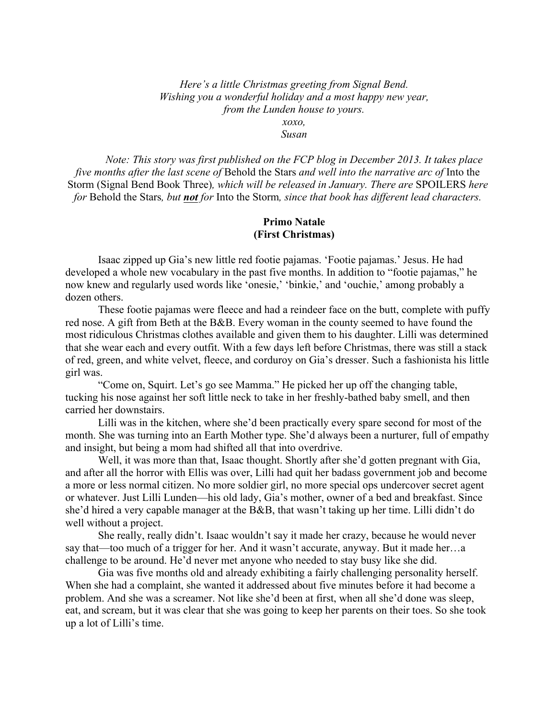## *Here's a little Christmas greeting from Signal Bend. Wishing you a wonderful holiday and a most happy new year, from the Lunden house to yours. xoxo, Susan*

*Note: This story was first published on the FCP blog in December 2013. It takes place five months after the last scene of* Behold the Stars *and well into the narrative arc of* Into the Storm (Signal Bend Book Three)*, which will be released in January. There are* SPOILERS *here for* Behold the Stars*, but not for* Into the Storm*, since that book has different lead characters.*

## **Primo Natale (First Christmas)**

Isaac zipped up Gia's new little red footie pajamas. 'Footie pajamas.' Jesus. He had developed a whole new vocabulary in the past five months. In addition to "footie pajamas," he now knew and regularly used words like 'onesie,' 'binkie,' and 'ouchie,' among probably a dozen others.

These footie pajamas were fleece and had a reindeer face on the butt, complete with puffy red nose. A gift from Beth at the B&B. Every woman in the county seemed to have found the most ridiculous Christmas clothes available and given them to his daughter. Lilli was determined that she wear each and every outfit. With a few days left before Christmas, there was still a stack of red, green, and white velvet, fleece, and corduroy on Gia's dresser. Such a fashionista his little girl was.

"Come on, Squirt. Let's go see Mamma." He picked her up off the changing table, tucking his nose against her soft little neck to take in her freshly-bathed baby smell, and then carried her downstairs.

Lilli was in the kitchen, where she'd been practically every spare second for most of the month. She was turning into an Earth Mother type. She'd always been a nurturer, full of empathy and insight, but being a mom had shifted all that into overdrive.

Well, it was more than that, Isaac thought. Shortly after she'd gotten pregnant with Gia, and after all the horror with Ellis was over, Lilli had quit her badass government job and become a more or less normal citizen. No more soldier girl, no more special ops undercover secret agent or whatever. Just Lilli Lunden—his old lady, Gia's mother, owner of a bed and breakfast. Since she'd hired a very capable manager at the B&B, that wasn't taking up her time. Lilli didn't do well without a project.

She really, really didn't. Isaac wouldn't say it made her crazy, because he would never say that—too much of a trigger for her. And it wasn't accurate, anyway. But it made her…a challenge to be around. He'd never met anyone who needed to stay busy like she did.

Gia was five months old and already exhibiting a fairly challenging personality herself. When she had a complaint, she wanted it addressed about five minutes before it had become a problem. And she was a screamer. Not like she'd been at first, when all she'd done was sleep, eat, and scream, but it was clear that she was going to keep her parents on their toes. So she took up a lot of Lilli's time.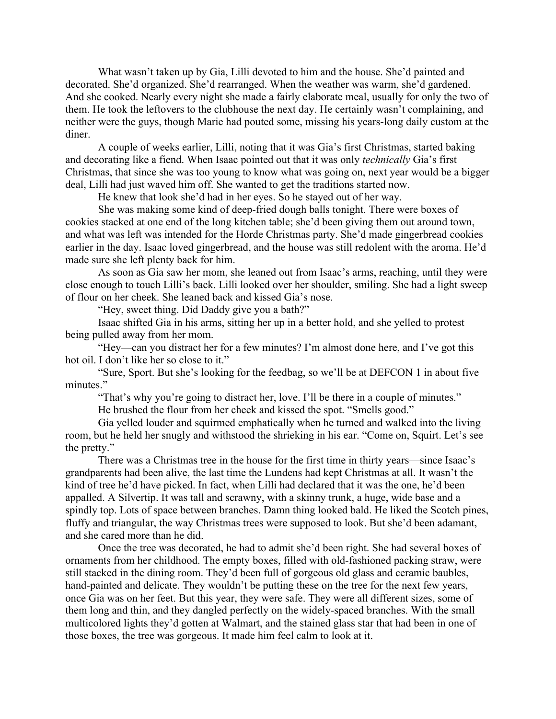What wasn't taken up by Gia, Lilli devoted to him and the house. She'd painted and decorated. She'd organized. She'd rearranged. When the weather was warm, she'd gardened. And she cooked. Nearly every night she made a fairly elaborate meal, usually for only the two of them. He took the leftovers to the clubhouse the next day. He certainly wasn't complaining, and neither were the guys, though Marie had pouted some, missing his years-long daily custom at the diner.

A couple of weeks earlier, Lilli, noting that it was Gia's first Christmas, started baking and decorating like a fiend. When Isaac pointed out that it was only *technically* Gia's first Christmas, that since she was too young to know what was going on, next year would be a bigger deal, Lilli had just waved him off. She wanted to get the traditions started now.

He knew that look she'd had in her eyes. So he stayed out of her way.

She was making some kind of deep-fried dough balls tonight. There were boxes of cookies stacked at one end of the long kitchen table; she'd been giving them out around town, and what was left was intended for the Horde Christmas party. She'd made gingerbread cookies earlier in the day. Isaac loved gingerbread, and the house was still redolent with the aroma. He'd made sure she left plenty back for him.

As soon as Gia saw her mom, she leaned out from Isaac's arms, reaching, until they were close enough to touch Lilli's back. Lilli looked over her shoulder, smiling. She had a light sweep of flour on her cheek. She leaned back and kissed Gia's nose.

"Hey, sweet thing. Did Daddy give you a bath?"

Isaac shifted Gia in his arms, sitting her up in a better hold, and she yelled to protest being pulled away from her mom.

"Hey—can you distract her for a few minutes? I'm almost done here, and I've got this hot oil. I don't like her so close to it."

"Sure, Sport. But she's looking for the feedbag, so we'll be at DEFCON 1 in about five minutes."

"That's why you're going to distract her, love. I'll be there in a couple of minutes." He brushed the flour from her cheek and kissed the spot. "Smells good."

Gia yelled louder and squirmed emphatically when he turned and walked into the living room, but he held her snugly and withstood the shrieking in his ear. "Come on, Squirt. Let's see the pretty."

There was a Christmas tree in the house for the first time in thirty years—since Isaac's grandparents had been alive, the last time the Lundens had kept Christmas at all. It wasn't the kind of tree he'd have picked. In fact, when Lilli had declared that it was the one, he'd been appalled. A Silvertip. It was tall and scrawny, with a skinny trunk, a huge, wide base and a spindly top. Lots of space between branches. Damn thing looked bald. He liked the Scotch pines, fluffy and triangular, the way Christmas trees were supposed to look. But she'd been adamant, and she cared more than he did.

Once the tree was decorated, he had to admit she'd been right. She had several boxes of ornaments from her childhood. The empty boxes, filled with old-fashioned packing straw, were still stacked in the dining room. They'd been full of gorgeous old glass and ceramic baubles, hand-painted and delicate. They wouldn't be putting these on the tree for the next few years, once Gia was on her feet. But this year, they were safe. They were all different sizes, some of them long and thin, and they dangled perfectly on the widely-spaced branches. With the small multicolored lights they'd gotten at Walmart, and the stained glass star that had been in one of those boxes, the tree was gorgeous. It made him feel calm to look at it.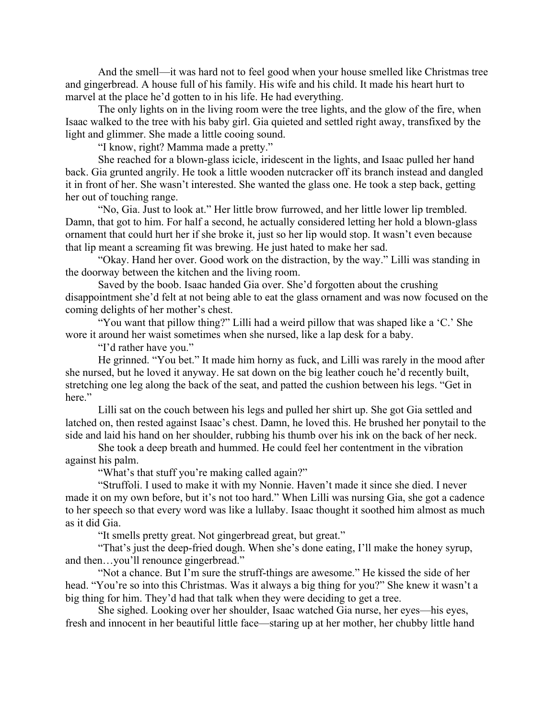And the smell—it was hard not to feel good when your house smelled like Christmas tree and gingerbread. A house full of his family. His wife and his child. It made his heart hurt to marvel at the place he'd gotten to in his life. He had everything.

The only lights on in the living room were the tree lights, and the glow of the fire, when Isaac walked to the tree with his baby girl. Gia quieted and settled right away, transfixed by the light and glimmer. She made a little cooing sound.

"I know, right? Mamma made a pretty."

She reached for a blown-glass icicle, iridescent in the lights, and Isaac pulled her hand back. Gia grunted angrily. He took a little wooden nutcracker off its branch instead and dangled it in front of her. She wasn't interested. She wanted the glass one. He took a step back, getting her out of touching range.

"No, Gia. Just to look at." Her little brow furrowed, and her little lower lip trembled. Damn, that got to him. For half a second, he actually considered letting her hold a blown-glass ornament that could hurt her if she broke it, just so her lip would stop. It wasn't even because that lip meant a screaming fit was brewing. He just hated to make her sad.

"Okay. Hand her over. Good work on the distraction, by the way." Lilli was standing in the doorway between the kitchen and the living room.

Saved by the boob. Isaac handed Gia over. She'd forgotten about the crushing disappointment she'd felt at not being able to eat the glass ornament and was now focused on the coming delights of her mother's chest.

"You want that pillow thing?" Lilli had a weird pillow that was shaped like a 'C.' She wore it around her waist sometimes when she nursed, like a lap desk for a baby.

"I'd rather have you."

He grinned. "You bet." It made him horny as fuck, and Lilli was rarely in the mood after she nursed, but he loved it anyway. He sat down on the big leather couch he'd recently built, stretching one leg along the back of the seat, and patted the cushion between his legs. "Get in here."

Lilli sat on the couch between his legs and pulled her shirt up. She got Gia settled and latched on, then rested against Isaac's chest. Damn, he loved this. He brushed her ponytail to the side and laid his hand on her shoulder, rubbing his thumb over his ink on the back of her neck.

She took a deep breath and hummed. He could feel her contentment in the vibration against his palm.

"What's that stuff you're making called again?"

"Struffoli. I used to make it with my Nonnie. Haven't made it since she died. I never made it on my own before, but it's not too hard." When Lilli was nursing Gia, she got a cadence to her speech so that every word was like a lullaby. Isaac thought it soothed him almost as much as it did Gia.

"It smells pretty great. Not gingerbread great, but great."

"That's just the deep-fried dough. When she's done eating, I'll make the honey syrup, and then…you'll renounce gingerbread."

"Not a chance. But I'm sure the struff-things are awesome." He kissed the side of her head. "You're so into this Christmas. Was it always a big thing for you?" She knew it wasn't a big thing for him. They'd had that talk when they were deciding to get a tree.

She sighed. Looking over her shoulder, Isaac watched Gia nurse, her eyes—his eyes, fresh and innocent in her beautiful little face—staring up at her mother, her chubby little hand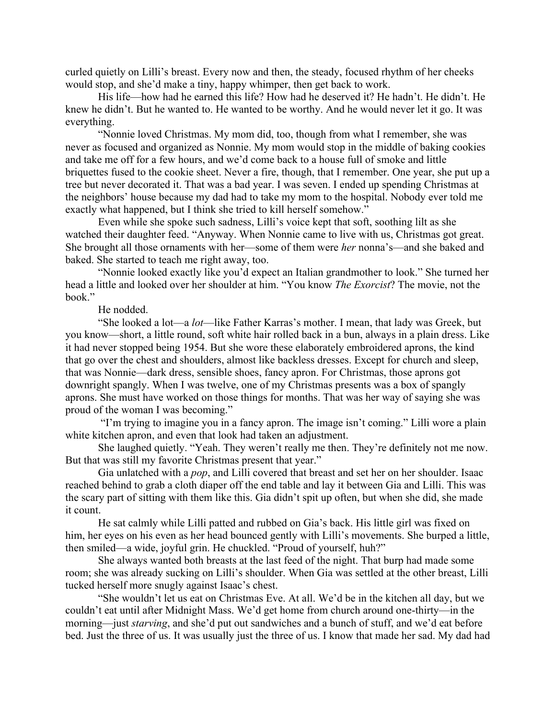curled quietly on Lilli's breast. Every now and then, the steady, focused rhythm of her cheeks would stop, and she'd make a tiny, happy whimper, then get back to work.

His life—how had he earned this life? How had he deserved it? He hadn't. He didn't. He knew he didn't. But he wanted to. He wanted to be worthy. And he would never let it go. It was everything.

"Nonnie loved Christmas. My mom did, too, though from what I remember, she was never as focused and organized as Nonnie. My mom would stop in the middle of baking cookies and take me off for a few hours, and we'd come back to a house full of smoke and little briquettes fused to the cookie sheet. Never a fire, though, that I remember. One year, she put up a tree but never decorated it. That was a bad year. I was seven. I ended up spending Christmas at the neighbors' house because my dad had to take my mom to the hospital. Nobody ever told me exactly what happened, but I think she tried to kill herself somehow."

Even while she spoke such sadness, Lilli's voice kept that soft, soothing lilt as she watched their daughter feed. "Anyway. When Nonnie came to live with us, Christmas got great. She brought all those ornaments with her—some of them were *her* nonna's—and she baked and baked. She started to teach me right away, too.

"Nonnie looked exactly like you'd expect an Italian grandmother to look." She turned her head a little and looked over her shoulder at him. "You know *The Exorcist*? The movie, not the book."

He nodded.

"She looked a lot—a *lot*—like Father Karras's mother. I mean, that lady was Greek, but you know—short, a little round, soft white hair rolled back in a bun, always in a plain dress. Like it had never stopped being 1954. But she wore these elaborately embroidered aprons, the kind that go over the chest and shoulders, almost like backless dresses. Except for church and sleep, that was Nonnie—dark dress, sensible shoes, fancy apron. For Christmas, those aprons got downright spangly. When I was twelve, one of my Christmas presents was a box of spangly aprons. She must have worked on those things for months. That was her way of saying she was proud of the woman I was becoming."

"I'm trying to imagine you in a fancy apron. The image isn't coming." Lilli wore a plain white kitchen apron, and even that look had taken an adjustment.

She laughed quietly. "Yeah. They weren't really me then. They're definitely not me now. But that was still my favorite Christmas present that year."

Gia unlatched with a *pop*, and Lilli covered that breast and set her on her shoulder. Isaac reached behind to grab a cloth diaper off the end table and lay it between Gia and Lilli. This was the scary part of sitting with them like this. Gia didn't spit up often, but when she did, she made it count.

He sat calmly while Lilli patted and rubbed on Gia's back. His little girl was fixed on him, her eyes on his even as her head bounced gently with Lilli's movements. She burped a little, then smiled—a wide, joyful grin. He chuckled. "Proud of yourself, huh?"

She always wanted both breasts at the last feed of the night. That burp had made some room; she was already sucking on Lilli's shoulder. When Gia was settled at the other breast, Lilli tucked herself more snugly against Isaac's chest.

"She wouldn't let us eat on Christmas Eve. At all. We'd be in the kitchen all day, but we couldn't eat until after Midnight Mass. We'd get home from church around one-thirty—in the morning—just *starving*, and she'd put out sandwiches and a bunch of stuff, and we'd eat before bed. Just the three of us. It was usually just the three of us. I know that made her sad. My dad had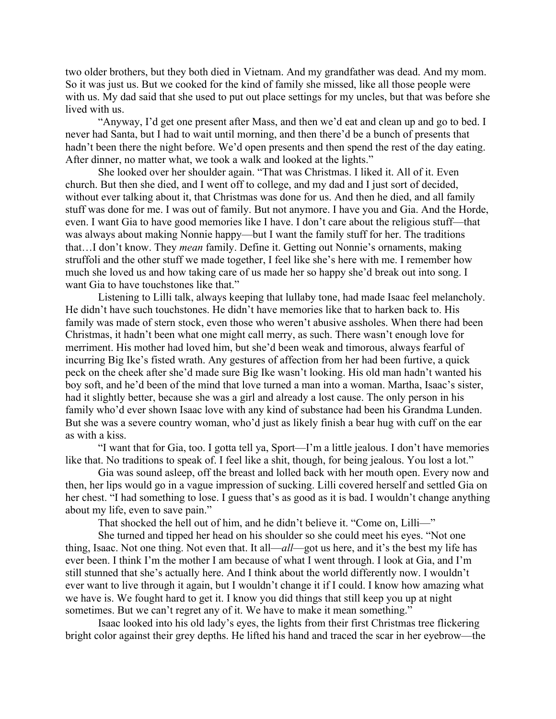two older brothers, but they both died in Vietnam. And my grandfather was dead. And my mom. So it was just us. But we cooked for the kind of family she missed, like all those people were with us. My dad said that she used to put out place settings for my uncles, but that was before she lived with us.

"Anyway, I'd get one present after Mass, and then we'd eat and clean up and go to bed. I never had Santa, but I had to wait until morning, and then there'd be a bunch of presents that hadn't been there the night before. We'd open presents and then spend the rest of the day eating. After dinner, no matter what, we took a walk and looked at the lights."

She looked over her shoulder again. "That was Christmas. I liked it. All of it. Even church. But then she died, and I went off to college, and my dad and I just sort of decided, without ever talking about it, that Christmas was done for us. And then he died, and all family stuff was done for me. I was out of family. But not anymore. I have you and Gia. And the Horde, even. I want Gia to have good memories like I have. I don't care about the religious stuff—that was always about making Nonnie happy—but I want the family stuff for her. The traditions that…I don't know. They *mean* family. Define it. Getting out Nonnie's ornaments, making struffoli and the other stuff we made together, I feel like she's here with me. I remember how much she loved us and how taking care of us made her so happy she'd break out into song. I want Gia to have touchstones like that."

Listening to Lilli talk, always keeping that lullaby tone, had made Isaac feel melancholy. He didn't have such touchstones. He didn't have memories like that to harken back to. His family was made of stern stock, even those who weren't abusive assholes. When there had been Christmas, it hadn't been what one might call merry, as such. There wasn't enough love for merriment. His mother had loved him, but she'd been weak and timorous, always fearful of incurring Big Ike's fisted wrath. Any gestures of affection from her had been furtive, a quick peck on the cheek after she'd made sure Big Ike wasn't looking. His old man hadn't wanted his boy soft, and he'd been of the mind that love turned a man into a woman. Martha, Isaac's sister, had it slightly better, because she was a girl and already a lost cause. The only person in his family who'd ever shown Isaac love with any kind of substance had been his Grandma Lunden. But she was a severe country woman, who'd just as likely finish a bear hug with cuff on the ear as with a kiss.

"I want that for Gia, too. I gotta tell ya, Sport—I'm a little jealous. I don't have memories like that. No traditions to speak of. I feel like a shit, though, for being jealous. You lost a lot."

Gia was sound asleep, off the breast and lolled back with her mouth open. Every now and then, her lips would go in a vague impression of sucking. Lilli covered herself and settled Gia on her chest. "I had something to lose. I guess that's as good as it is bad. I wouldn't change anything about my life, even to save pain."

That shocked the hell out of him, and he didn't believe it. "Come on, Lilli—"

She turned and tipped her head on his shoulder so she could meet his eyes. "Not one thing, Isaac. Not one thing. Not even that. It all—*all*—got us here, and it's the best my life has ever been. I think I'm the mother I am because of what I went through. I look at Gia, and I'm still stunned that she's actually here. And I think about the world differently now. I wouldn't ever want to live through it again, but I wouldn't change it if I could. I know how amazing what we have is. We fought hard to get it. I know you did things that still keep you up at night sometimes. But we can't regret any of it. We have to make it mean something."

Isaac looked into his old lady's eyes, the lights from their first Christmas tree flickering bright color against their grey depths. He lifted his hand and traced the scar in her eyebrow—the